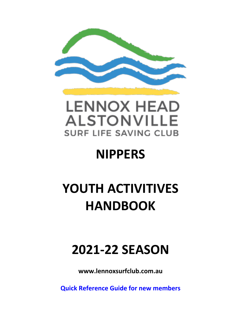



# **NIPPERS**

# **YOUTH ACTIVITIVES HANDBOOK**

# **2021-22 SEASON**

**www.lennoxsurfclub.com.au**

**Quick Reference Guide for new members**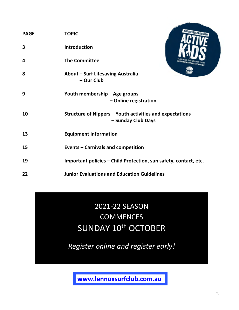| <b>PAGE</b> | <b>TOPIC</b>                                                                   | <b>APPROVED PROVIDER</b> |
|-------------|--------------------------------------------------------------------------------|--------------------------|
| 3           | <b>Introduction</b>                                                            |                          |
| 4           | <b>The Committee</b>                                                           |                          |
| 8           | About - Surf Lifesaving Australia<br>- Our Club                                |                          |
| 9           | Youth membership - Age groups<br>- Online registration                         |                          |
| 10          | Structure of Nippers - Youth activities and expectations<br>- Sunday Club Days |                          |
| 13          | <b>Equipment information</b>                                                   |                          |
| 15          | <b>Events - Carnivals and competition</b>                                      |                          |
| 19          | Important policies - Child Protection, sun safety, contact, etc.               |                          |
| 22          | <b>Junior Evaluations and Education Guidelines</b>                             |                          |

2021-22 SEASON **COMMENCES** SUNDAY 10<sup>th</sup> OCTOBER

*Register online and register early!*

**www.lennoxsurfclub.com.au .**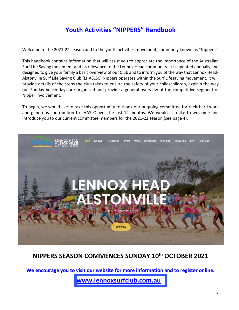# **Youth Activities "NIPPERS" Handbook**

Welcome to the 2021-22 season and to the youth activities movement, commonly known as "Nippers".

This handbook contains information that will assist you to appreciate the importance of the Australian Surf Life Saving movement and its relevance to the Lennox Head community. It is updated annually and designed to give your family a basic overview of our Club and to inform you of the way that Lennox Head-Alstonville Surf Life Saving Club (LHASLSC) Nippers operates within the Surf Lifesaving movement. It will provide details of the steps the club takes to ensure the safety of your child/children, explain the way our Sunday beach days are organised and provide a general overview of the competitive segment of Nipper involvement.

To begin, we would like to take this opportunity to thank our outgoing committee for their hard work and generous contribution to LHASLC over the last 12 months. We would also like to welcome and introduce you to our current committee members for the 2021-22 season (see page 4).



# **NIPPERS SEASON COMMENCES SUNDAY 10th OCTOBER 2021**

**We encourage you to visit our website for more information and to register online.**

**www.lennoxsurfclub.com.au .**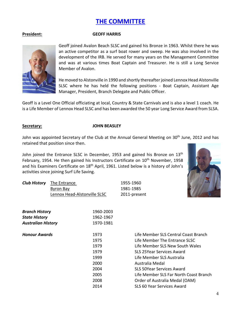# **THE COMMITTEE**

### **President: GEOFF HARRIS**

Geoff joined Avalon Beach SLSC and gained his Bronze in 1963. Whilst there he was an active competitor as a surf boat rower and sweep. He was also involved in the development of the IRB. He served for many years on the Management Committee and was at various times Boat Captain and Treasurer. He is still a Long Service Member of Avalon.

He moved to Alstonville in 1990 and shortly thereafter joined Lennox Head Alstonville SLSC where he has held the following positions - Boat Captain, Assistant Age Manager, President, Branch Delegate and Public Officer.

Geoff is a Level One Official officiating at local, Country & State Carnivals and is also a level 1 coach. He is a Life Member of Lennox Head SLSC and has been awarded the 50 year Long Service Award from SLSA.

#### **Secretary: JOHN BEASLEY**

John was appointed Secretary of the Club at the Annual General Meeting on 30<sup>th</sup> June, 2012 and has retained that position since then.

John joined the Entrance SLSC in December, 1953 and gained his Bronze on 13<sup>th</sup> February, 1954. He then gained his Instructors Certificate on  $10<sup>th</sup>$  November, 1958 and his Examiners Certificate on 18<sup>th</sup> April, 1961. Listed below is a history of John's activities since joining Surf Life Saving.



| <b>Club History</b> The Entrance | 1955-1960    |
|----------------------------------|--------------|
| Byron Bay                        | 1981-1985    |
| Lennox Head-Alstonville SLSC     | 2011-present |

| <b>Branch History</b>     | 1960-2003 |                                        |
|---------------------------|-----------|----------------------------------------|
| <b>State History</b>      | 1962-1967 |                                        |
| <b>Australian History</b> | 1970-1981 |                                        |
| <b>Honour Awards</b>      | 1973      | Life Member SLS Central Coast Branch   |
|                           | 1975      | Life Member The Entrance SLSC          |
|                           | 1979      | Life Member SLS New South Wales        |
|                           | 1979      | SLS 25Year Services Award              |
|                           | 1999      | Life Member SLS Australia              |
|                           | 2000      | Australia Medal                        |
|                           | 2004      | <b>SLS 50Year Services Award</b>       |
|                           | 2005      | Life Member SLS Far North Coast Branch |
|                           | 2008      | Order of Australia Medal (OAM)         |
|                           | 2014      | SLS 60 Year Services Award             |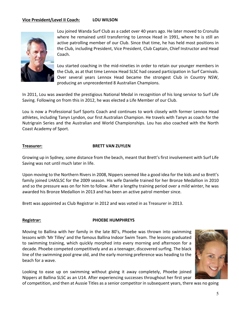### **Vice President/Level II Coach: LOU WILSON**



Lou joined Wanda Surf Club as a cadet over 40 years ago. He later moved to Cronulla where he remained until transferring to Lennox Head in 1991, where he is still an active patrolling member of our Club. Since that time, he has held most positions in the Club, including President, Vice President, Club Captain, Chief Instructor and Head Coach.

Lou started coaching in the mid-nineties in order to retain our younger members in the Club, as at that time Lennox Head SLSC had ceased participation in Surf Carnivals. Over several years Lennox Head became the strongest Club in Country NSW, producing an unprecedented 8 Australian Champions.

In 2011, Lou was awarded the prestigious National Medal in recognition of his long service to Surf Life Saving. Following on from this in 2012, he was elected a Life Member of our Club.

Lou is now a Professional Surf Sports Coach and continues to work closely with former Lennox Head athletes, including Tanyn Lyndon, our first Australian Champion. He travels with Tanyn as coach for the Nutrigrain Series and the Australian and World Championships. Lou has also coached with the North Coast Academy of Sport.

#### **Treasurer: BRETT VAN ZUYLEN**

Growing up in Sydney, some distance from the beach, meant that Brett's first involvement with Surf Life Saving was not until much later in life.

Upon moving to the Northern Rivers in 2008, Nippers seemed like a good idea for the kids and so Brett's family joined LHASLSC for the 2009 season. His wife Danielle trained for her Bronze Medallion in 2010 and so the pressure was on for him to follow. After a lengthy training period over a mild winter, he was awarded his Bronze Medallion in 2013 and has been an active patrol member since.

Brett was appointed as Club Registrar in 2012 and was voted in as Treasurer in 2013.

#### **Registrar: PHOEBE HUMPHREYS**

Moving to Ballina with her family in the late 80's, Phoebe was thrown into swimming lessons with 'Mr Tilley' and the famous Ballina Indoor Swim Team. The lessons graduated to swimming training, which quickly morphed into every morning and afternoon for a decade. Phoebe competed competitively and as a teenager, discovered surfing. The black line of the swimming pool grew old, and the early morning preference was heading to the beach for a wave.

Looking to ease up on swimming without giving it away completely, Phoebe joined Nippers at Ballina SLSC as an U14. After experiencing successes throughout her first year of competition, and then at Aussie Titles as a senior competitor in subsequent years, there was no going

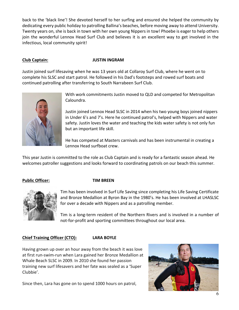back to the 'black line'! She devoted herself to her surfing and ensured she helped the community by dedicating every public holiday to patrolling Ballina's beaches, before moving away to attend University. Twenty years on, she is back in town with her own young Nippers in tow! Phoebe is eager to help others join the wonderful Lennox Head Surf Club and believes it is an excellent way to get involved in the infectious, local community spirit!

### **Club Captain: JUSTIN INGRAM**

Justin joined surf lifesaving when he was 13 years old at Collaroy Surf Club, where he went on to complete his SLSC and start patrol. He followed in his Dad's footsteps and rowed surf boats and continued patrolling after transferring to South Narrabeen Surf Club.



With work commitments Justin moved to QLD and competed for Metropolitan Caloundra.

Justin joined Lennox Head SLSC in 2014 when his two young boys joined nippers in Under 6's and 7's. Here he continued patrol's, helped with Nippers and water safety. Justin loves the water and teaching the kids water safety is not only fun but an important life skill.

He has competed at Masters carnivals and has been instrumental in creating a Lennox Head surfboat crew.

This year Justin is committed to the role as Club Captain and is ready for a fantastic season ahead. He welcomes patroller suggestions and looks forward to coordinating patrols on our beach this summer.

# **Public Officer: TIM BREEN**



Tim has been involved in Surf Life Saving since completing his Life Saving Certificate and Bronze Medallion at Byron Bay in the 1980's. He has been involved at LHASLSC for over a decade with Nippers and as a patrolling member.

Tim is a long-term resident of the Northern Rivers and is involved in a number of not-for-profit and sporting committees throughout our local area.

# **Chief Training Officer (CTO): LARA BOYLE**

Having grown up over an hour away from the beach it was love at first run-swim-run when Lara gained her Bronze Medallion at Whale Beach SLSC in 2009. In 2010 she found her passion training new surf lifesavers and her fate was sealed as a 'Super Clubbie'.

Since then, Lara has gone on to spend 1000 hours on patrol,

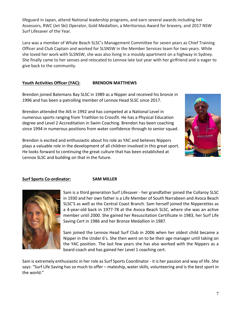lifeguard in Japan, attend National leadership programs, and earn several awards including her Assessors, RWC (Jet Ski) Operator, Gold Medallion, a Meritorious Award for bravery, and 2017 NSW Surf Lifesaver of the Year.

Lara was a member of Whale Beach SLSC's Management Committee for seven years as Chief Training Officer and Club Captain and worked for SLSNSW in the Member Services team for two years. While she loved her work with SLSNSW, she was also living in a mouldy apartment on a highway in Sydney. She finally came to her senses and relocated to Lennox late last year with her girlfriend and is eager to give back to the community.

# **Youth Activities Officer (YAC): BRENDON MATTHEWS**

Brendon joined Batemans Bay SLSC in 1989 as a Nipper and received his bronze in 1996 and has been a patrolling member of Lennox Head SLSC since 2017.

Brendon attended the AIS in 1992 and has competed at a National Level in numerous sports ranging from Triathlon to Crossfit. He has a Physical Education degree and Level 2 Accreditation in Swim Coaching. Brendon has been coaching since 1994 in numerous positions from water confidence through to senior squad.

Brendon is excited and enthusiastic about his role as YAC and believes Nippers plays a valuable role in the development of all children involved in this great sport. He looks forward to continuing the great culture that has been established at Lennox SLSC and building on that in the future.



# **Surf Sports Co-ordinator: SAM MILLER**



Sam is a third generation Surf Lifesaver - her grandfather joined the Collaroy SLSC in 1930 and her own father is a Life Member of South Narrabeen and Avoca Beach SLSC'S as well as the Central Coast Branch. Sam herself joined the Nipperettes as a 4-year-old back in 1977-78 at the Avoca Beach SLSC, where she was an active member until 2000. She gained her Resuscitation Certificate in 1983, her Surf Life Saving Cert in 1986 and her Bronze Medallion in 1987.

Sam joined the Lennox Head Surf Club in 2006 when her oldest child became a Nipper in the Under 6's. She then went on to be their age manager until taking on the YAC position. The last few years she has also worked with the Nippers as a board coach and has gained her Level 1 coaching cert.

Sam is extremely enthusiastic in her role as Surf Sports Coordinator - it is her passion and way of life. She says: "Surf Life Saving has so much to offer – mateship, water skills, volunteering and is the best sport in the world."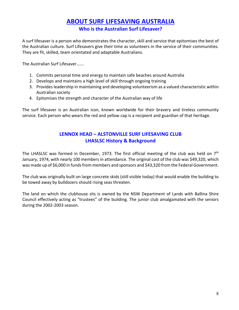# **ABOUT SURF LIFESAVING AUSTRALIA**

**Who is the Australian Surf Lifesaver?**

A surf lifesaver is a person who demonstrates the character, skill and service that epitomises the best of the Australian culture. Surf Lifesavers give their time as volunteers in the service of their communities. They are fit, skilled, team orientated and adaptable Australians.

The Australian Surf Lifesaver…….

- 1. Commits personal time and energy to maintain safe beaches around Australia
- 2. Develops and maintains a high level of skill through ongoing training
- 3. Provides leadership in maintaining and developing volunteerism as a valued characteristic within Australian society
- 4. Epitomises the strength and character of the Australian way of life

The surf lifesaver is an Australian icon, known worldwide for their bravery and tireless community service. Each person who wears the red and yellow cap is a recipient and guardian of that heritage.

# **LENNOX HEAD – ALSTONVILLE SURF LIFESAVING CLUB LHASLSC History & Background**

The LHASLSC was formed in December, 1973. The first official meeting of the club was held on 7<sup>th</sup> January, 1974, with nearly 100 members in attendance. The original cost of the club was \$49,320, which was made up of \$6,000 in funds from members and sponsors and \$43,320 from the Federal Government.

The club was originally built on large concrete skids (still visible today) that would enable the building to be towed away by bulldozers should rising seas threaten.

The land on which the clubhouse sits is owned by the NSW Department of Lands with Ballina Shire Council effectively acting as "trustees" of the building. The junior club amalgamated with the seniors during the 2002-2003 season.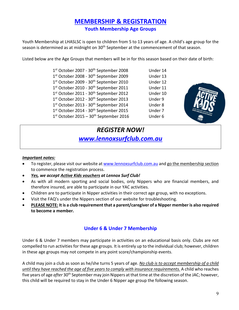# **MEMBERSHIP & REGISTRATION Youth Membership Age Groups**

Youth Membership at LHASLSC is open to children from 5 to 13 years of age. A child's age group for the season is determined as at midnight on 30<sup>th</sup> September at the commencement of that season.

Listed below are the Age Groups that members will be in for this season based on their date of birth:

| 1st October 2007 - 30 <sup>th</sup> September 2008 | Under 14 |
|----------------------------------------------------|----------|
| 1st October 2008 - 30 <sup>th</sup> September 2009 | Under 13 |
| 1st October 2009 - 30 <sup>th</sup> September 2010 | Under 12 |
| 1st October 2010 - 30 <sup>th</sup> September 2011 | Under 11 |
| 1st October 2011 - 30 <sup>th</sup> September 2012 | Under 10 |
| 1st October 2012 - 30 <sup>th</sup> September 2013 | Under 9  |
| 1st October 2013 - 30 <sup>th</sup> September 2014 | Under 8  |
| 1st October 2014 - 30 <sup>th</sup> September 2015 | Under 7  |
| 1st October 2015 - 30 <sup>th</sup> September 2016 | Under 6  |
|                                                    |          |



### *Important notes:*

- To register, please visit our website at www.lennoxsurfclub.com.au and go the membership section to commence the registration process.
- *Yes, we accept Active Kids vouchers at Lennox Surf Club!*
- As with all modern sporting and social bodies, only Nippers who are financial members, and therefore insured, are able to participate in our YAC activities.
- Children are to participate in Nipper activities in their correct age group, with no exceptions.
- Visit the FAQ's under the Nippers section of our website for troubleshooting.
- **PLEASE NOTE: It is a club requirement that a parent/caregiver of a Nipper member is also required to become a member.**

# **Under 6 & Under 7 Membership**

Under 6 & Under 7 members may participate in activities on an educational basis only. Clubs are not compelled to run activities for these age groups. It is entirely up to the individual club; however, children in these age groups may not compete in any point score/championship events.

A child may join a club as soon as he/she turns 5 years of age. *No club is to accept membership of a child until they have reached the age of five years to comply with insurance requirements.* A child who reaches five years of age *after* 30th September may join Nippers at that time at the discretion of the JAC; however, this child will be required to stay in the Under 6 Nipper age group the following season.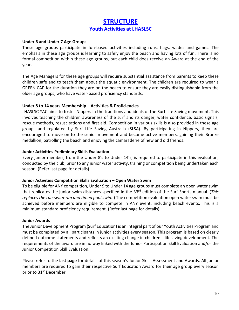# **STRUCTURE Youth Activities at LHASLSC**

### **Under 6 and Under 7 Age Groups**

These age groups participate in fun-based activities including runs, flags, wades and games. The emphasis in these age groups is learning to safely enjoy the beach and having lots of fun. There is no formal competition within these age groups, but each child does receive an Award at the end of the year.

The Age Managers for these age groups will require substantial assistance from parents to keep these children safe and to teach them about the aquatic environment. The children are required to wear a GREEN CAP for the duration they are on the beach to ensure they are easily distinguishable from the older age groups, who have water-based proficiency standards.

## **Under 8 to 14 years Membership – Activities & Proficiencies**

LHASLSC YAC aims to foster Nippers in the traditions and ideals of the Surf Life Saving movement. This involves teaching the children awareness of the surf and its danger, water confidence, basic signals, rescue methods, resuscitations and first aid. Competition in various skills is also provided in these age groups and regulated by Surf Life Saving Australia (SLSA). By participating in Nippers, they are encouraged to move on to the senior movement and become active members, gaining their Bronze medallion, patrolling the beach and enjoying the camaraderie of new and old friends.

## **Junior Activities Preliminary Skills Evaluation**

Every junior member, from the Under 8's to Under 14's, is required to participate in this evaluation, conducted by the club, prior to any junior water activity, training or competition being undertaken each season. (Refer last page for details)

# **Junior Activities Competition Skills Evaluation – Open Water Swim**

To be eligible for ANY competition, Under 9 to Under 14 age groups must complete an open water swim that replicates the junior swim distances specified in the 33rd edition of the Surf Sports manual. (*This replaces the run-swim-run and timed pool swim*.) The competition evaluation open water swim must be achieved before members are eligible to compete in ANY event, including beach events. This is a minimum standard proficiency requirement. (Refer last page for details)

### **Junior Awards**

The Junior Development Program (Surf Education) is an integral part of our Youth Activities Program and must be completed by all participants in junior activities every season. This program is based on clearly defined outcome statements and reflects an exciting change in children's lifesaving development. The requirements of the award are in no way linked with the Junior Participation Skill Evaluation and/or the Junior Competition Skill Evaluation.

Please refer to the **last page** for details of this season's Junior Skills Assessment and Awards. All junior members are required to gain their respective Surf Education Award for their age group every season prior to 31<sup>st</sup> December.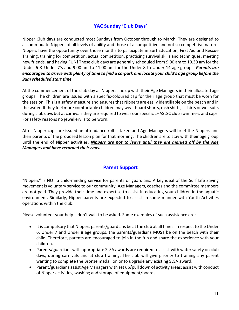# **YAC Sunday 'Club Days'**

Nipper Club days are conducted most Sundays from October through to March. They are designed to accommodate Nippers of all levels of ability and those of a competitive and not so competitive nature. Nippers have the opportunity over those months to participate in Surf Education, First Aid and Rescue Training, training for competition, actual competition, practicing survival skills and techniques, meeting new friends, and having FUN! These club days are generally scheduled from 9.00 am to 10.30 am for the Under 6 & Under 7's and 9.00 am to 11.00 am for the Under 8 to Under 14 age groups. *Parents are encouraged to arrive with plenty of time to find a carpark and locate your child's age group before the 9am scheduled start time.* 

At the commencement of the club day all Nippers line up with their Age Managers in their allocated age groups. The children are issued with a specific-coloured cap for their age group that must be worn for the session. This is a safety measure and ensures that Nippers are easily identifiable on the beach and in the water. If they feel more comfortable children may wear board shorts, rash shirts, t-shirts or wet suits during club days but at carnivals they are required to wear our specific LHASLSC club swimmers and caps. For safety reasons no jewellery is to be worn.

After Nipper caps are issued an attendance roll is taken and Age Managers will brief the Nippers and their parents of the proposed lesson plan for that morning. The children are to stay with their age group until the end of Nipper activities. *Nippers are not to leave until they are marked off by the Age Managers and have returned their caps.*

# **Parent Support**

"Nippers" is NOT a child-minding service for parents or guardians. A key ideal of the Surf Life Saving movement is voluntary service to our community. Age Managers, coaches and the committee members are not paid. They provide their time and expertise to assist in educating your children in the aquatic environment. Similarly, Nipper parents are expected to assist in some manner with Youth Activities operations within the club.

Please volunteer your help – don't wait to be asked. Some examples of such assistance are:

- It is compulsory that Nippers parents/guardians be at the club at all times. In respect to the Under 6, Under 7 and Under 8 age groups, the parents/guardians MUST be on the beach with their child. Therefore, parents are encouraged to join in the fun and share the experience with your children.
- Parents/guardians with appropriate SLSA awards are required to assist with water safety on club days, during carnivals and at club training. The club will give priority to training any parent wanting to complete the Bronze medallion or to upgrade any existing SLSA award.
- Parent/guardians assist Age Managers with set up/pull down of activity areas; assist with conduct of Nipper activities, washing and storage of equipment/boards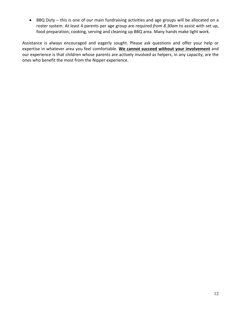• BBQ Duty – this is one of our main fundraising activities and age groups will be allocated on a roster system. At least 4 parents per age group are required *from 8.30am* to assist with set up, food preparation, cooking, serving and cleaning up BBQ area. Many hands make light work.

Assistance is always encouraged and eagerly sought. Please ask questions and offer your help or expertise in whatever area you feel comfortable. **We cannot succeed without your involvement** and our experience is that children whose parents are actively involved as helpers, in any capacity, are the ones who benefit the most from the Nipper experience.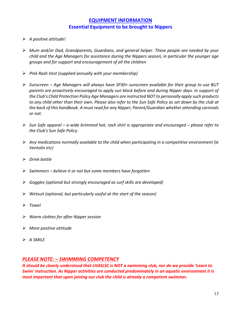# **EQUIPMENT INFORMATION Essential Equipment to be brought to Nippers**

- Ø *A positive attitude!*
- Ø *Mum and/or Dad, Grandparents, Guardians, and general helper. These people are needed by your child and the Age Managers for assistance during the Nippers season, in particular the younger age groups and for support and encouragement of all the children*
- Ø *Pink Rash Vest (supplied annually with your membership)*
- Ø *Sunscreen Age Managers will always have SP30+ sunscreen available for their group to use BUT parents are proactively encouraged to apply sun block before and during Nipper days. In support of the Club's Child Protection Policy Age Managers are instructed NOT to personally apply such products to any child other than their own. Please also refer to the Sun Safe Policy as set down by the club at the back of this handbook. A must read for any Nipper, Parent/Guardian whether attending carnivals or not.*
- Ø *Sun Safe apparel a wide brimmed hat, rash shirt is appropriate and encouraged please refer to the Club's Sun Safe Policy*
- Ø *Any medications normally available to the child when participating in a competitive environment (ie Ventolin etc)*
- Ø *Drink bottle*
- Ø *Swimmers believe it or not but some members have forgotten*
- Ø *Goggles (optional but strongly encouraged as surf skills are developed)*
- Ø *Wetsuit (optional, but particularly useful at the start of the season)*
- Ø *Towel*
- Ø *Warm clothes for after Nipper session*
- Ø *More positive attitude*
- Ø *A SMILE*

# *PLEASE NOTE: – SWIMMING COMPETENCY*

*It should be clearly understood that LHASLSC is NOT a swimming club, nor do we provide 'Learn to Swim' instruction. As Nipper activities are conducted predominately in an aquatic environment it is most important that upon joining our club the child is already a competent swimmer.*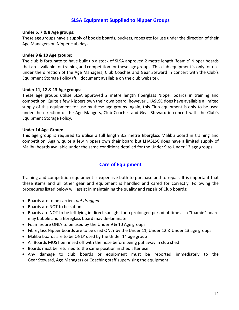# **SLSA Equipment Supplied to Nipper Groups**

### **Under 6, 7 & 8 Age groups:**

These age groups have a supply of boogie boards, buckets, ropes etc for use under the direction of their Age Managers on Nipper club days

### **Under 9 & 10 Age groups:**

The club is fortunate to have built up a stock of SLSA approved 2 metre length 'foamie' Nipper boards that are available for training and competition for these age groups. This club equipment is only for use under the direction of the Age Managers, Club Coaches and Gear Steward in concert with the Club's Equipment Storage Policy (full document available on the club website).

### **Under 11, 12 & 13 Age groups:**

These age groups utilise SLSA approved 2 metre length fiberglass Nipper boards in training and competition. Quite a few Nippers own their own board, however LHASLSC does have available a limited supply of this equipment for use by these age groups. Again, this Club equipment is only to be used under the direction of the Age Mangers, Club Coaches and Gear Steward in concert with the Club's Equipment Storage Policy.

### **Under 14 Age Group:**

This age group is required to utilise a full length 3.2 metre fiberglass Malibu board in training and competition. Again, quite a few Nippers own their board but LHASLSC does have a limited supply of Malibu boards available under the same conditions detailed for the Under 9 to Under 13 age groups.

# **Care of Equipment**

Training and competition equipment is expensive both to purchase and to repair. It is important that these items and all other gear and equipment is handled and cared for correctly. Following the procedures listed below will assist in maintaining the quality and repair of Club boards:

- Boards are to be carried, *not dragged*
- Boards are NOT to be sat on
- Boards are NOT to be left lying in direct sunlight for a prolonged period of time as a "foamie" board may bubble and a fibreglass board may de-laminate.
- Foamies are ONLY to be used by the Under 9 & 10 Age groups
- Fibreglass Nipper boards are to be used ONLY by the Under 11, Under 12 & Under 13 age groups
- Malibu boards are to be ONLY used by the Under 14 age group
- All Boards MUST be rinsed off with the hose before being put away in club shed
- Boards must be returned to the same position in shed after use
- Any damage to club boards or equipment must be reported immediately to the Gear Steward, Age Managers or Coaching staff supervising the equipment.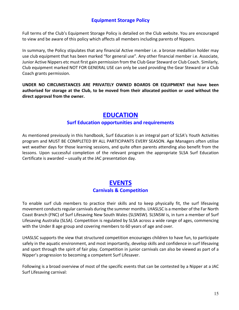# **Equipment Storage Policy**

Full terms of the Club's Equipment Storage Policy is detailed on the Club website. You are encouraged to view and be aware of this policy which affects all members including parents of Nippers.

In summary, the Policy stipulates that any financial Active member i.e. a bronze medallion holder may use club equipment that has been marked "for general use". Any other financial member i.e. Associate, Junior Active Nippers etc must first gain permission from the Club Gear Steward or Club Coach. Similarly, Club equipment marked NOT FOR GENERAL USE can only be used providing the Gear Steward or a Club Coach grants permission.

**UNDER NO CIRCUMSTANCES ARE PRIVATELY OWNED BOARDS OR EQUIPMENT that have been authorised for storage at the Club, to be moved from their allocated position or used without the direct approval from the owner.**

# **EDUCATION**

# **Surf Education opportunities and requirements**

As mentioned previously in this handbook, Surf Education is an integral part of SLSA's Youth Activities program and MUST BE COMPLETED BY ALL PARTICIPANTS EVERY SEASON. Age Managers often utilise wet weather days for those learning sessions, and quite often parents attending also benefit from the lessons. Upon successful completion of the relevant program the appropriate SLSA Surf Education Certificate is awarded – usually at the JAC presentation day.

# **EVENTS Carnivals & Competition**

To enable surf club members to practice their skills and to keep physically fit, the surf lifesaving movement conducts regular carnivals during the summer months. LHASLSC is a member of the Far North Coast Branch (FNC) of Surf Lifesaving New South Wales (SLSNSW). SLSNSW is, in turn a member of Surf Lifesaving Australia (SLSA). Competition is regulated by SLSA across a wide range of ages, commencing with the Under 8 age group and covering members to 60 years of age and over.

LHASLSC supports the view that structured competition encourages children to have fun, to participate safely in the aquatic environment, and most importantly, develop skills and confidence in surf lifesaving and sport through the spirit of fair play. Competition in junior carnivals can also be viewed as part of a Nipper's progression to becoming a competent Surf Lifesaver.

Following is a broad overview of most of the specific events that can be contested by a Nipper at a JAC Surf Lifesaving carnival: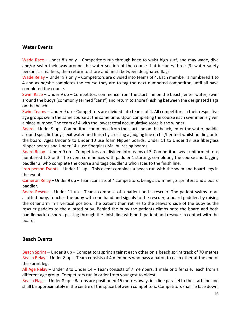# **Water Events**

Wade Race - Under 8's only - Competitors run through knee to waist high surf, and may wade, dive and/or swim their way around the water section of the course that includes three (3) water safety persons as markers, then return to shore and finish between designated flags

Wade Relay – Under 8's only – Competitors are divided into teams of 4. Each member is numbered 1 to 4 and as he/she completes the course they are to tag the next numbered competitor, until all have completed the course.

Swim Race – Under 9 up – Competitors commence from the start line on the beach, enter water, swim around the buoys (commonly termed "cans") and return to shore finishing between the designated flags on the beach

Swim Teams – Under 9 up – Competitors are divided into teams of 4. All competitors in their respective age groups swim the same course at the same time. Upon completing the course each swimmer is given a place number. The team of 4 with the lowest total accumulative score is the winner.

Board – Under 9 up – Competitors commence from the start line on the beach, enter the water, paddle around specific buoys, exit water and finish by crossing a judging line on his/her feet whilst holding onto the board. Ages Under 9 to Under 10 use foam Nipper boards, Under 11 to Under 13 use fiberglass Nipper boards and Under 14's use fiberglass Malibu racing boards.

Board Relay – Under 9 up – Competitors are divided into teams of 3. Competitors wear uniformed tops numbered 1, 2 or 3. The event commences with paddler 1 starting, completing the course and tagging paddler 2, who complete the course and tags paddler 3 who races to the finish line.

Iron person Events – Under 11 up – This event combines a beach run with the swim and board legs in the event

Cameron Relay – Under 9 up – Team consists of 4 competitors, being a swimmer, 2 sprinters and a board paddler.

Board Rescue – Under 11 up – Teams comprise of a patient and a rescuer. The patient swims to an allotted buoy, touches the buoy with one hand and signals to the rescuer, a board paddler, by raising the other arm in a vertical position. The patient then retires to the seaward side of the buoy as the rescuer paddles to the allotted buoy. Behind the buoy the patients climbs onto the board and both paddle back to shore, passing through the finish line with both patient and rescuer in contact with the board.

# **Beach Events**

Beach Sprint – Under 8 up – Competitors sprint against each other on a beach sprint track of 70 metres Beach Relay – Under 8 up – Team consists of 4 members who pass a baton to each other at the end of the sprint legs

All Age Relay – Under 8 to Under 14 – Team consists of 7 members, 1 male or 1 female, each from a different age group. Competitors run in order from youngest to oldest.

Beach Flags – Under 8 up – Batons are positioned 15 metres away, in a line parallel to the start line and shall be approximately in the centre of the space between competitors. Competitors shall lie face down,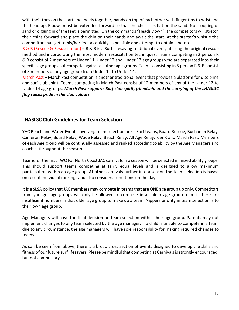with their toes on the start line, heels together, hands on top of each other with finger tips to wrist and the head up. Elbows must be extended forward so that the chest lies flat on the sand. No scooping of sand or digging in of the feet is permitted. On the commands "Heads Down", the competitors will stretch their chins forward and place the chin on their hands and await the start. At the starter's whistle the competitor shall get to his/her feet as quickly as possible and attempt to obtain a baton.

R & R (Rescue & Resuscitation) – R & R is a Surf Lifesaving traditional event, utilizing the original rescue method and incorporating the most modern resuscitation techniques. Teams competing in 2 person R & R consist of 2 members of Under 11, Under 12 and Under 13 age groups who are separated into their specific age groups but compete against all other age groups. Teams consisting in 5 person R & R consist of 5 members of any age group from Under 12 to Under 14.

March Past – March Past competition is another traditional event that provides a platform for discipline and surf club spirit. Teams competing in March Past consist of 12 members of any of the Under 12 to Under 14 age groups. *March Past supports Surf club spirit, friendship and the carrying of the LHASLSC flag raises pride in the club colours.*

# **LHASLSC Club Guidelines for Team Selection**

YAC Beach and Water Events involving team selection are - Surf teams, Board Rescue, Buchanan Relay, Cameron Relay, Board Relay, Wade Relay, Beach Relay, All Age Relay, R & R and March Past. Members of each Age group will be continually assessed and ranked according to ability by the Age Managers and coaches throughout the season.

Teams for the first TWO Far North Coast JAC carnivals in a season will be selected in mixed ability groups. This should support teams competing at fairly equal levels and is designed to allow maximum participation within an age group. At other carnivals further into a season the team selection is based on recent individual rankings and also considers conditions on the day.

It is a SLSA policy that JAC members may compete in teams that are ONE age group up only. Competitors from younger age groups will only be allowed to compete in an older age group team if there are insufficient numbers in that older age group to make up a team. Nippers priority in team selection is to their own age group.

Age Managers will have the final decision on team selection within their age group. Parents may not implement changes to any team selected by the age manager. If a child is unable to compete in a team due to any circumstance, the age managers will have sole responsibility for making required changes to teams.

As can be seen from above, there is a broad cross section of events designed to develop the skills and fitness of our future surf lifesavers. Please be mindful that competing at Carnivals is strongly encouraged, but not compulsory.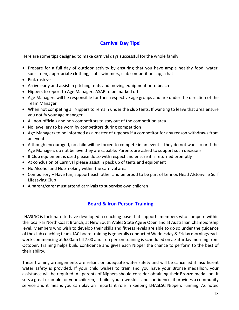# **Carnival Day Tips!**

Here are some tips designed to make carnival days successful for the whole family:

- Prepare for a full day of outdoor activity by ensuring that you have ample healthy food, water, sunscreen, appropriate clothing, club swimmers, club competition cap, a hat
- Pink rash vest
- Arrive early and assist in pitching tents and moving equipment onto beach
- Nippers to report to Age Managers ASAP to be marked off
- Age Managers will be responsible for their respective age groups and are under the direction of the Team Manager
- When not competing all Nippers to remain under the club tents. If wanting to leave that area ensure you notify your age manager
- All non-officials and non-competitors to stay out of the competition area
- No jewellery to be worn by competitors during competition
- Age Managers to be informed as a matter of urgency if a competitor for any reason withdraws from an event
- Although encouraged, no child will be forced to compete in an event if they do not want to or if the Age Managers do not believe they are capable. Parents are asked to support such decisions
- If Club equipment is used please do so with respect and ensure it is returned promptly
- At conclusion of Carnival please assist in pack up of tents and equipment
- No Alcohol and No Smoking within the carnival area
- Compulsory Have fun, support each other and be proud to be part of Lennox Head Alstonville Surf Lifesaving Club
- A parent/carer must attend carnivals to supervise own children

# **Board & Iron Person Training**

LHASLSC is fortunate to have developed a coaching base that supports members who compete within the local Far North Coast Branch, at New South Wales State Age & Open and at Australian Championship level. Members who wish to develop their skills and fitness levels are able to do so under the guidance of the club coaching team. JAC board training is generally conducted Wednesday & Friday mornings each week commencing at 6.00am till 7.00 am. Iron person training is scheduled on a Saturday morning from October. Training helps build confidence and gives each Nipper the chance to perform to the best of their ability.

These training arrangements are reliant on adequate water safety and will be cancelled if insufficient water safety is provided. If your child wishes to train and you have your Bronze medallion, your assistance will be required. All parents of Nippers should consider obtaining their Bronze medallion. It sets a great example for your children, it builds your own skills and confidence, it provides a community service and it means you can play an important role in keeping LHASLSC Nippers running. As noted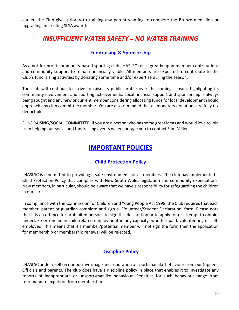earlier, the Club gives priority to training any parent wanting to complete the Bronze medallion or upgrading an existing SLSA award.

# *INSUFFICIENT WATER SAFETY = NO WATER TRAINING*

# **Fundraising & Sponsorship**

As a not-for-profit community based sporting club LHASLSC relies greatly upon member contributions and community support to remain financially viable. All members are expected to contribute to the Club's fundraising activities by donating some time and/or expertise during the season.

The club will continue to strive to raise its public profile over the coming season, highlighting its community involvement and sporting achievements. Local financial support and sponsorship is always being sought and any new or current member considering allocating funds for local development should approach any club committee member. You are also reminded that all monetary donations are fully tax deductible.

FUNDRAISING/SOCIAL COMMITTEE- If you are a person who has some great ideas and would love to join us in helping our social and fundraising events we encourage you to contact Sam Miller.

# **IMPORTANT POLICIES**

# **Child Protection Policy**

LHASLSC is committed to providing a safe environment for all members. The club has implemented a Child Protection Policy that complies with New South Wales legislation and community expectations. New members, in particular, should be aware that we have a responsibility for safeguarding the children in our care.

In compliance with the Commission for Children and Young People Act 1998, the Club requires that each member, parent or guardian complete and sign a "Volunteer/Student Declaration' form. Please note that it is an offence for prohibited persons to sign this declaration or to apply for or attempt to obtain, undertake or remain in child-related employment in any capacity, whether paid, volunteering or selfemployed. This means that if a member/potential member will not sign the form then the application for membership or membership renewal will be rejected.

# **Discipline Policy**

LHASLSC prides itself on our positive image and reputation of sportsmanlike behaviour from our Nippers, Officials and parents. The club does have a discipline policy in place that enables it to investigate any reports of inappropriate or unsportsmanlike behaviour. Penalties for such behaviour range from reprimand to expulsion from membership.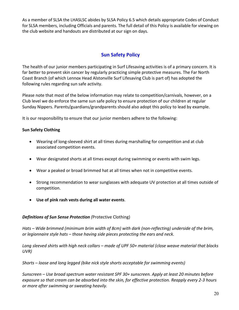As a member of SLSA the LHASLSC abides by SLSA Policy 6.5 which details appropriate Codes of Conduct for SLSA members, including Officials and parents. The full detail of this Policy is available for viewing on the club website and handouts are distributed at our sign on days.

# **Sun Safety Policy**

The health of our junior members participating in Surf Lifesaving activities is of a primary concern. It is far better to prevent skin cancer by regularly practicing simple protective measures. The Far North Coast Branch (of which Lennox Head Alstonville Surf Lifesaving Club is part of) has adopted the following rules regarding sun safe activity.

Please note that most of the below information may relate to competition/carnivals, however, on a Club level we do enforce the same sun safe policy to ensure protection of our children at regular Sunday Nippers. Parents/guardians/grandparents should also adopt this policy to lead by example.

It is our responsibility to ensure that our junior members adhere to the following:

# **Sun Safety Clothing**

- Wearing of long-sleeved shirt at all times during marshalling for competition and at club associated competition events.
- Wear designated shorts at all times except during swimming or events with swim legs.
- Wear a peaked or broad brimmed hat at all times when not in competitive events.
- Strong recommendation to wear sunglasses with adequate UV protection at all times outside of competition.
- **Use of pink rash vests during all water events**.

# *Definitions of Sun Sense Protection (*Protective Clothing)

*Hats – Wide brimmed (minimum brim width of 8cm) with dark (non-reflecting) underside of the brim, or legionnaire style hats – those having side pieces protecting the ears and neck.* 

*Long sleeved shirts with high neck collars – made of UPF 50+ material (close weave material that blocks UVR)* 

*Shorts – loose and long legged (bike nick style shorts acceptable for swimming events)* 

*Sunscreen – Use broad spectrum water resistant SPF 30+ sunscreen. Apply at least 20 minutes before exposure so that cream can be absorbed into the skin, for effective protection. Reapply every 2-3 hours or more after swimming or sweating heavily.*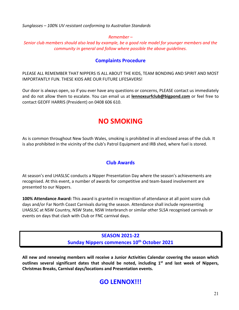*Sunglasses – 100% UV resistant conforming to Australian Standards* 

# *Remember –*

*Senior club members should also lead by example, be a good role model for younger members and the community in general and follow where possible the above guidelines.* 

# **Complaints Procedure**

PLEASE ALL REMEMBER THAT NIPPERS IS ALL ABOUT THE KIDS, TEAM BONDING AND SPIRIT AND MOST IMPORTANTLY FUN. THESE KIDS ARE OUR FUTURE LIFESAVERS!

Our door is always open, so if you ever have any questions or concerns, PLEASE contact us immediately and do not allow them to escalate. You can email us at **lennoxsurfclub@bigpond.com** or feel free to contact GEOFF HARRIS (President) on 0408 606 610.

# **NO SMOKING**

As is common throughout New South Wales, smoking is prohibited in all enclosed areas of the club. It is also prohibited in the vicinity of the club's Patrol Equipment and IRB shed, where fuel is stored.

# **Club Awards**

At season's end LHASLSC conducts a Nipper Presentation Day where the season's achievements are recognised. At this event, a number of awards for competitive and team-based involvement are presented to our Nippers.

**100% Attendance Award:** This award is granted in recognition of attendance at all point score club days and/or Far North Coast Carnivals during the season. Attendance shall include representing LHASLSC at NSW Country, NSW State, NSW Interbranch or similar other SLSA recognised carnivals or events on days that clash with Club or FNC carnival days.

> **SEASON 2021-22 Sunday Nippers commences 10th October 2021**

**All new and renewing members will receive a Junior Activities Calendar covering the season which outlines several significant dates that should be noted, including 1st and last week of Nippers, Christmas Breaks, Carnival days/locations and Presentation events.** 

# **GO LENNOX!!!**